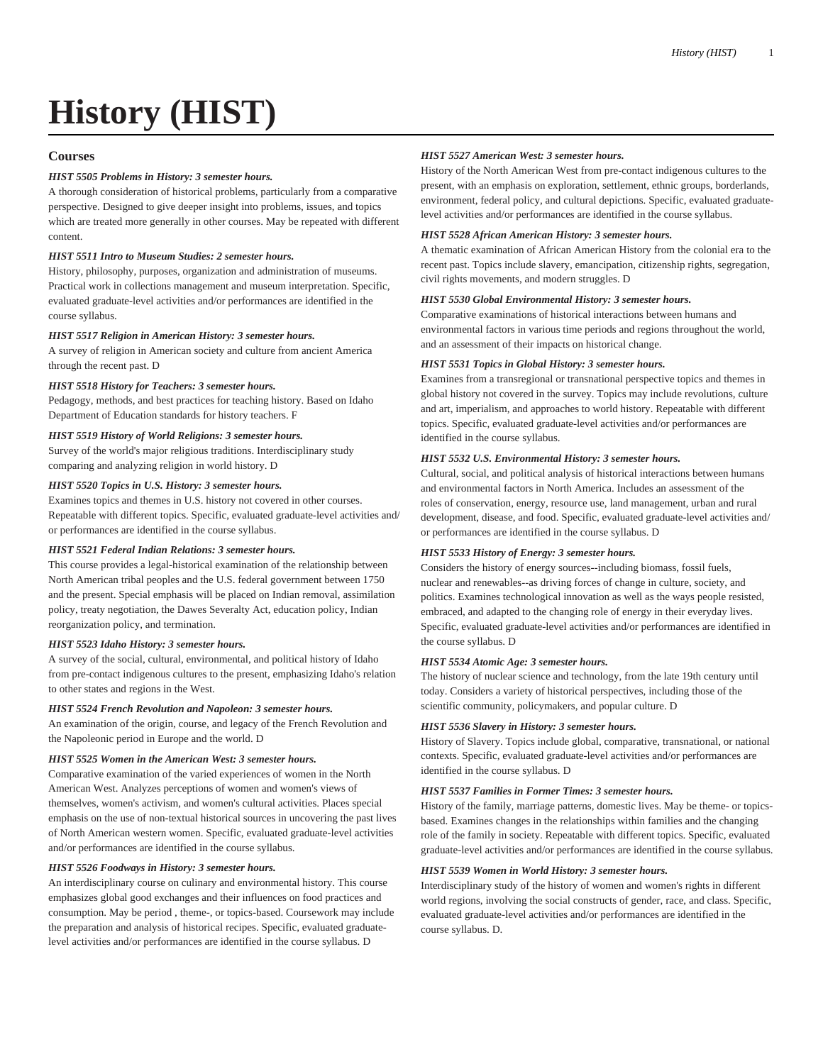# **History (HIST)**

# **Courses**

## *HIST 5505 Problems in History: 3 semester hours.*

A thorough consideration of historical problems, particularly from a comparative perspective. Designed to give deeper insight into problems, issues, and topics which are treated more generally in other courses. May be repeated with different content.

## *HIST 5511 Intro to Museum Studies: 2 semester hours.*

History, philosophy, purposes, organization and administration of museums. Practical work in collections management and museum interpretation. Specific, evaluated graduate-level activities and/or performances are identified in the course syllabus.

#### *HIST 5517 Religion in American History: 3 semester hours.*

A survey of religion in American society and culture from ancient America through the recent past. D

## *HIST 5518 History for Teachers: 3 semester hours.*

Pedagogy, methods, and best practices for teaching history. Based on Idaho Department of Education standards for history teachers. F

#### *HIST 5519 History of World Religions: 3 semester hours.*

Survey of the world's major religious traditions. Interdisciplinary study comparing and analyzing religion in world history. D

# *HIST 5520 Topics in U.S. History: 3 semester hours.*

Examines topics and themes in U.S. history not covered in other courses. Repeatable with different topics. Specific, evaluated graduate-level activities and/ or performances are identified in the course syllabus.

#### *HIST 5521 Federal Indian Relations: 3 semester hours.*

This course provides a legal-historical examination of the relationship between North American tribal peoples and the U.S. federal government between 1750 and the present. Special emphasis will be placed on Indian removal, assimilation policy, treaty negotiation, the Dawes Severalty Act, education policy, Indian reorganization policy, and termination.

## *HIST 5523 Idaho History: 3 semester hours.*

A survey of the social, cultural, environmental, and political history of Idaho from pre-contact indigenous cultures to the present, emphasizing Idaho's relation to other states and regions in the West.

#### *HIST 5524 French Revolution and Napoleon: 3 semester hours.*

An examination of the origin, course, and legacy of the French Revolution and the Napoleonic period in Europe and the world. D

#### *HIST 5525 Women in the American West: 3 semester hours.*

Comparative examination of the varied experiences of women in the North American West. Analyzes perceptions of women and women's views of themselves, women's activism, and women's cultural activities. Places special emphasis on the use of non-textual historical sources in uncovering the past lives of North American western women. Specific, evaluated graduate-level activities and/or performances are identified in the course syllabus.

#### *HIST 5526 Foodways in History: 3 semester hours.*

An interdisciplinary course on culinary and environmental history. This course emphasizes global good exchanges and their influences on food practices and consumption. May be period , theme-, or topics-based. Coursework may include the preparation and analysis of historical recipes. Specific, evaluated graduatelevel activities and/or performances are identified in the course syllabus. D

## *HIST 5527 American West: 3 semester hours.*

History of the North American West from pre-contact indigenous cultures to the present, with an emphasis on exploration, settlement, ethnic groups, borderlands, environment, federal policy, and cultural depictions. Specific, evaluated graduatelevel activities and/or performances are identified in the course syllabus.

## *HIST 5528 African American History: 3 semester hours.*

A thematic examination of African American History from the colonial era to the recent past. Topics include slavery, emancipation, citizenship rights, segregation, civil rights movements, and modern struggles. D

## *HIST 5530 Global Environmental History: 3 semester hours.*

Comparative examinations of historical interactions between humans and environmental factors in various time periods and regions throughout the world, and an assessment of their impacts on historical change.

## *HIST 5531 Topics in Global History: 3 semester hours.*

Examines from a transregional or transnational perspective topics and themes in global history not covered in the survey. Topics may include revolutions, culture and art, imperialism, and approaches to world history. Repeatable with different topics. Specific, evaluated graduate-level activities and/or performances are identified in the course syllabus.

#### *HIST 5532 U.S. Environmental History: 3 semester hours.*

Cultural, social, and political analysis of historical interactions between humans and environmental factors in North America. Includes an assessment of the roles of conservation, energy, resource use, land management, urban and rural development, disease, and food. Specific, evaluated graduate-level activities and/ or performances are identified in the course syllabus. D

## *HIST 5533 History of Energy: 3 semester hours.*

Considers the history of energy sources--including biomass, fossil fuels, nuclear and renewables--as driving forces of change in culture, society, and politics. Examines technological innovation as well as the ways people resisted, embraced, and adapted to the changing role of energy in their everyday lives. Specific, evaluated graduate-level activities and/or performances are identified in the course syllabus. D

#### *HIST 5534 Atomic Age: 3 semester hours.*

The history of nuclear science and technology, from the late 19th century until today. Considers a variety of historical perspectives, including those of the scientific community, policymakers, and popular culture. D

#### *HIST 5536 Slavery in History: 3 semester hours.*

History of Slavery. Topics include global, comparative, transnational, or national contexts. Specific, evaluated graduate-level activities and/or performances are identified in the course syllabus. D

# *HIST 5537 Families in Former Times: 3 semester hours.*

History of the family, marriage patterns, domestic lives. May be theme- or topicsbased. Examines changes in the relationships within families and the changing role of the family in society. Repeatable with different topics. Specific, evaluated graduate-level activities and/or performances are identified in the course syllabus.

## *HIST 5539 Women in World History: 3 semester hours.*

Interdisciplinary study of the history of women and women's rights in different world regions, involving the social constructs of gender, race, and class. Specific, evaluated graduate-level activities and/or performances are identified in the course syllabus. D.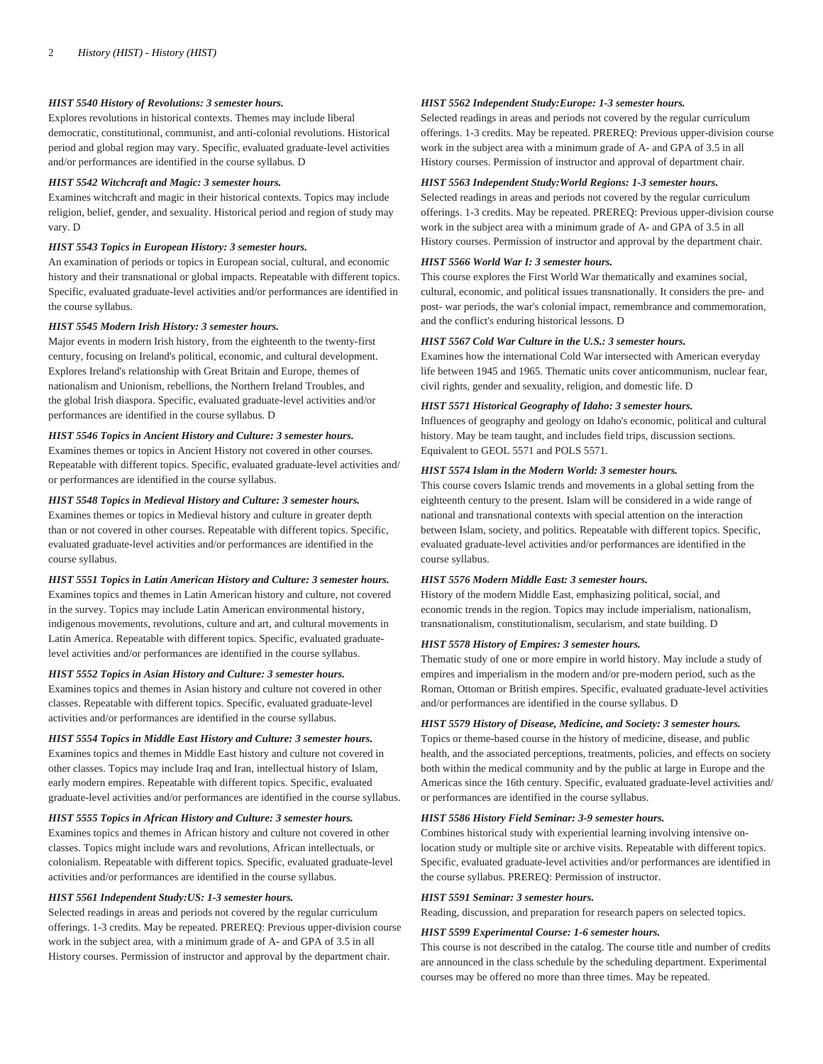## *HIST 5540 History of Revolutions: 3 semester hours.*

Explores revolutions in historical contexts. Themes may include liberal democratic, constitutional, communist, and anti-colonial revolutions. Historical period and global region may vary. Specific, evaluated graduate-level activities and/or performances are identified in the course syllabus. D

## *HIST 5542 Witchcraft and Magic: 3 semester hours.*

Examines witchcraft and magic in their historical contexts. Topics may include religion, belief, gender, and sexuality. Historical period and region of study may vary. D

#### *HIST 5543 Topics in European History: 3 semester hours.*

An examination of periods or topics in European social, cultural, and economic history and their transnational or global impacts. Repeatable with different topics. Specific, evaluated graduate-level activities and/or performances are identified in the course syllabus.

## *HIST 5545 Modern Irish History: 3 semester hours.*

Major events in modern Irish history, from the eighteenth to the twenty-first century, focusing on Ireland's political, economic, and cultural development. Explores Ireland's relationship with Great Britain and Europe, themes of nationalism and Unionism, rebellions, the Northern Ireland Troubles, and the global Irish diaspora. Specific, evaluated graduate-level activities and/or performances are identified in the course syllabus. D

## *HIST 5546 Topics in Ancient History and Culture: 3 semester hours.*

Examines themes or topics in Ancient History not covered in other courses. Repeatable with different topics. Specific, evaluated graduate-level activities and/ or performances are identified in the course syllabus.

## *HIST 5548 Topics in Medieval History and Culture: 3 semester hours.*

Examines themes or topics in Medieval history and culture in greater depth than or not covered in other courses. Repeatable with different topics. Specific, evaluated graduate-level activities and/or performances are identified in the course syllabus.

#### *HIST 5551 Topics in Latin American History and Culture: 3 semester hours.*

Examines topics and themes in Latin American history and culture, not covered in the survey. Topics may include Latin American environmental history, indigenous movements, revolutions, culture and art, and cultural movements in Latin America. Repeatable with different topics. Specific, evaluated graduatelevel activities and/or performances are identified in the course syllabus.

## *HIST 5552 Topics in Asian History and Culture: 3 semester hours.*

Examines topics and themes in Asian history and culture not covered in other classes. Repeatable with different topics. Specific, evaluated graduate-level activities and/or performances are identified in the course syllabus.

#### *HIST 5554 Topics in Middle East History and Culture: 3 semester hours.*

Examines topics and themes in Middle East history and culture not covered in other classes. Topics may include Iraq and Iran, intellectual history of Islam, early modern empires. Repeatable with different topics. Specific, evaluated graduate-level activities and/or performances are identified in the course syllabus.

## *HIST 5555 Topics in African History and Culture: 3 semester hours.*

Examines topics and themes in African history and culture not covered in other classes. Topics might include wars and revolutions, African intellectuals, or colonialism. Repeatable with different topics. Specific, evaluated graduate-level activities and/or performances are identified in the course syllabus.

## *HIST 5561 Independent Study:US: 1-3 semester hours.*

Selected readings in areas and periods not covered by the regular curriculum offerings. 1-3 credits. May be repeated. PREREQ: Previous upper-division course work in the subject area, with a minimum grade of A- and GPA of 3.5 in all History courses. Permission of instructor and approval by the department chair.

#### *HIST 5562 Independent Study:Europe: 1-3 semester hours.*

Selected readings in areas and periods not covered by the regular curriculum offerings. 1-3 credits. May be repeated. PREREQ: Previous upper-division course work in the subject area with a minimum grade of A- and GPA of 3.5 in all History courses. Permission of instructor and approval of department chair.

# *HIST 5563 Independent Study:World Regions: 1-3 semester hours.*

Selected readings in areas and periods not covered by the regular curriculum offerings. 1-3 credits. May be repeated. PREREQ: Previous upper-division course work in the subject area with a minimum grade of A- and GPA of 3.5 in all History courses. Permission of instructor and approval by the department chair.

## *HIST 5566 World War I: 3 semester hours.*

This course explores the First World War thematically and examines social, cultural, economic, and political issues transnationally. It considers the pre- and post- war periods, the war's colonial impact, remembrance and commemoration, and the conflict's enduring historical lessons. D

## *HIST 5567 Cold War Culture in the U.S.: 3 semester hours.*

Examines how the international Cold War intersected with American everyday life between 1945 and 1965. Thematic units cover anticommunism, nuclear fear, civil rights, gender and sexuality, religion, and domestic life. D

## *HIST 5571 Historical Geography of Idaho: 3 semester hours.*

Influences of geography and geology on Idaho's economic, political and cultural history. May be team taught, and includes field trips, discussion sections. Equivalent to [GEOL 5571](/search/?P=GEOL%205571) and [POLS 5571.](/search/?P=POLS%205571)

## *HIST 5574 Islam in the Modern World: 3 semester hours.*

This course covers Islamic trends and movements in a global setting from the eighteenth century to the present. Islam will be considered in a wide range of national and transnational contexts with special attention on the interaction between Islam, society, and politics. Repeatable with different topics. Specific, evaluated graduate-level activities and/or performances are identified in the course syllabus.

## *HIST 5576 Modern Middle East: 3 semester hours.*

History of the modern Middle East, emphasizing political, social, and economic trends in the region. Topics may include imperialism, nationalism, transnationalism, constitutionalism, secularism, and state building. D

### *HIST 5578 History of Empires: 3 semester hours.*

Thematic study of one or more empire in world history. May include a study of empires and imperialism in the modern and/or pre-modern period, such as the Roman, Ottoman or British empires. Specific, evaluated graduate-level activities and/or performances are identified in the course syllabus. D

#### *HIST 5579 History of Disease, Medicine, and Society: 3 semester hours.*

Topics or theme-based course in the history of medicine, disease, and public health, and the associated perceptions, treatments, policies, and effects on society both within the medical community and by the public at large in Europe and the Americas since the 16th century. Specific, evaluated graduate-level activities and/ or performances are identified in the course syllabus.

#### *HIST 5586 History Field Seminar: 3-9 semester hours.*

Combines historical study with experiential learning involving intensive onlocation study or multiple site or archive visits. Repeatable with different topics. Specific, evaluated graduate-level activities and/or performances are identified in the course syllabus. PREREQ: Permission of instructor.

## *HIST 5591 Seminar: 3 semester hours.*

Reading, discussion, and preparation for research papers on selected topics.

## *HIST 5599 Experimental Course: 1-6 semester hours.*

This course is not described in the catalog. The course title and number of credits are announced in the class schedule by the scheduling department. Experimental courses may be offered no more than three times. May be repeated.